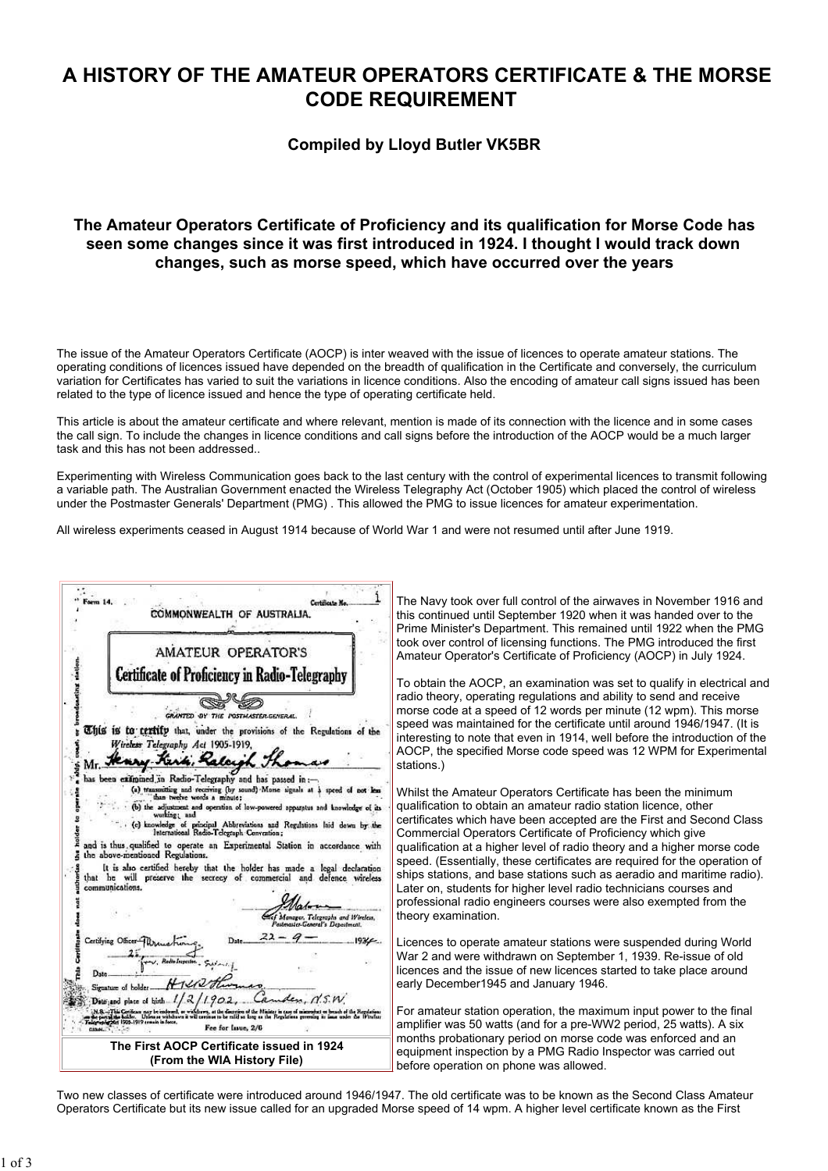# A HISTORY OF THE AMATEUR OPERATORS CERTIFICATE & THE MORSE CODE REQUIREMENT

## Compiled by Lloyd Butler VK5BR

## The Amateur Operators Certificate of Proficiency and its qualification for Morse Code has seen some changes since it was first introduced in 1924. I thought I would track down changes, such as morse speed, which have occurred over the years

The issue of the Amateur Operators Certificate (AOCP) is inter weaved with the issue of licences to operate amateur stations. The operating conditions of licences issued have depended on the breadth of qualification in the Certificate and conversely, the curriculum variation for Certificates has varied to suit the variations in licence conditions. Also the encoding of amateur call signs issued has been related to the type of licence issued and hence the type of operating certificate held.

This article is about the amateur certificate and where relevant, mention is made of its connection with the licence and in some cases the call sign. To include the changes in licence conditions and call signs before the introduction of the AOCP would be a much larger task and this has not been addressed..

Experimenting with Wireless Communication goes back to the last century with the control of experimental licences to transmit following a variable path. The Australian Government enacted the Wireless Telegraphy Act (October 1905) which placed the control of wireless under the Postmaster Generals' Department (PMG) . This allowed the PMG to issue licences for amateur experimentation.

All wireless experiments ceased in August 1914 because of World War 1 and were not resumed until after June 1919.



The Navy took over full control of the airwaves in November 1916 and this continued until September 1920 when it was handed over to the Prime Minister's Department. This remained until 1922 when the PMG took over control of licensing functions. The PMG introduced the first Amateur Operator's Certificate of Proficiency (AOCP) in July 1924.

To obtain the AOCP, an examination was set to qualify in electrical and radio theory, operating regulations and ability to send and receive morse code at a speed of 12 words per minute (12 wpm). This morse speed was maintained for the certificate until around 1946/1947. (It is interesting to note that even in 1914, well before the introduction of the AOCP, the specified Morse code speed was 12 WPM for Experimental stations.)

Whilst the Amateur Operators Certificate has been the minimum qualification to obtain an amateur radio station licence, other certificates which have been accepted are the First and Second Class Commercial Operators Certificate of Proficiency which give qualification at a higher level of radio theory and a higher morse code speed. (Essentially, these certificates are required for the operation of ships stations, and base stations such as aeradio and maritime radio). Later on, students for higher level radio technicians courses and professional radio engineers courses were also exempted from the theory examination.

Licences to operate amateur stations were suspended during World War 2 and were withdrawn on September 1, 1939. Re-issue of old licences and the issue of new licences started to take place around early December1945 and January 1946.

For amateur station operation, the maximum input power to the final amplifier was 50 watts (and for a pre-WW2 period, 25 watts). A six months probationary period on morse code was enforced and an equipment inspection by a PMG Radio Inspector was carried out before operation on phone was allowed.

Two new classes of certificate were introduced around 1946/1947. The old certificate was to be known as the Second Class Amateur Operators Certificate but its new issue called for an upgraded Morse speed of 14 wpm. A higher level certificate known as the First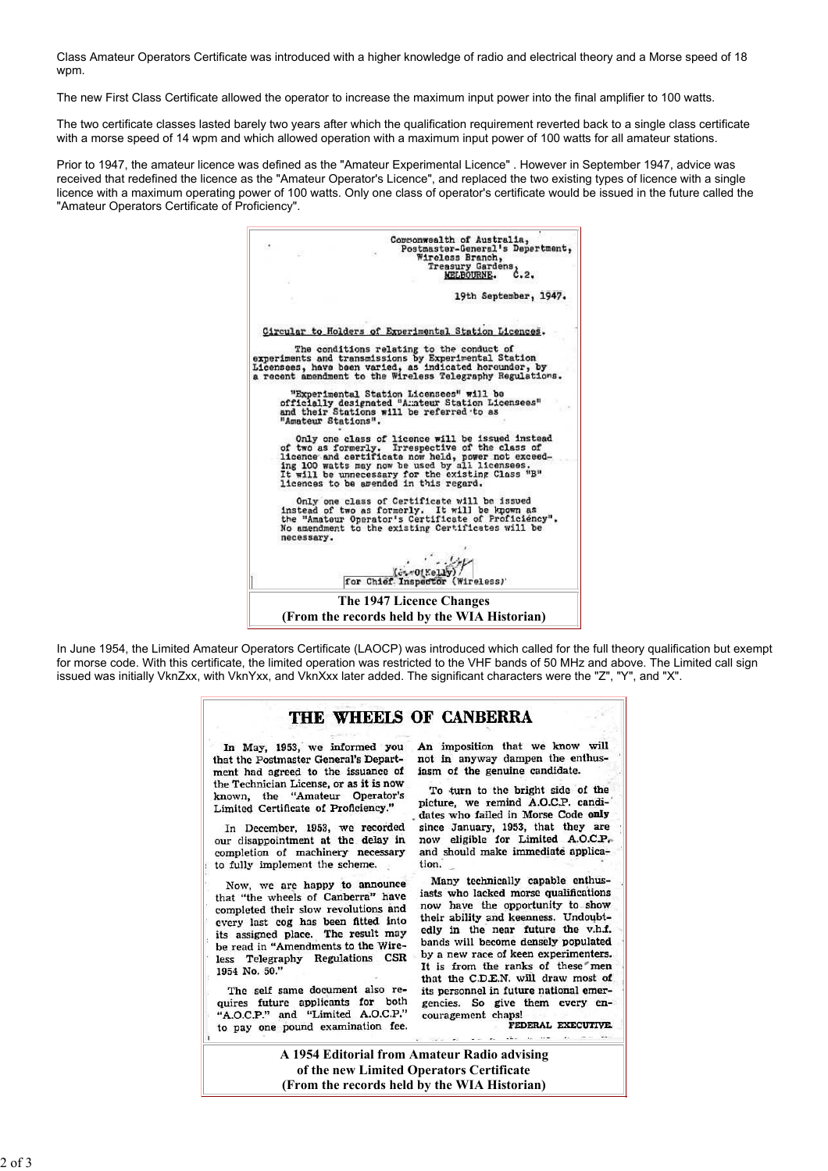Class Amateur Operators Certificate was introduced with a higher knowledge of radio and electrical theory and a Morse speed of 18 wpm.

The new First Class Certificate allowed the operator to increase the maximum input power into the final amplifier to 100 watts.

The two certificate classes lasted barely two years after which the qualification requirement reverted back to a single class certificate with a morse speed of 14 wpm and which allowed operation with a maximum input power of 100 watts for all amateur stations.

Prior to 1947, the amateur licence was defined as the "Amateur Experimental Licence" . However in September 1947, advice was received that redefined the licence as the "Amateur Operator's Licence", and replaced the two existing types of licence with a single licence with a maximum operating power of 100 watts. Only one class of operator's certificate would be issued in the future called the "Amateur Operators Certificate of Proficiency".



In June 1954, the Limited Amateur Operators Certificate (LAOCP) was introduced which called for the full theory qualification but exempt for morse code. With this certificate, the limited operation was restricted to the VHF bands of 50 MHz and above. The Limited call sign issued was initially VknZxx, with VknYxx, and VknXxx later added. The significant characters were the "Z", "Y", and "X".

#### THE WHEELS OF CANBERRA

In May, 1953, we informed you that the Postmaster General's Department had agreed to the issuance of the Technician License, or as it is now known, the "Amateur Operator's Limited Certificate of Proficiency."

In December, 1953, we recorded our disappointment at the delay in completion of machinery necessary to fully implement the scheme.

Now, we are happy to announce that "the wheels of Canberra" have completed their slow revolutions and every last cog has been fitted into its assigned place. The result may be read in "Amendments to the Wireless Telegraphy Regulations CSR 1954 No. 50."

The self same document also requires future applicants for both "A.O.C.P." and "Limited A.O.C.P." to pay one pound examination fee. An imposition that we know will not in anyway dampen the enthusiasm of the genuine candidate.

To turn to the bright side of the picture, we remind A.O.C.P. candidates who failed in Morse Code only since January, 1953, that they are now eligible for Limited A.O.C.P. and should make immediate application.

Many technically capable enthusiasts who lacked morse qualifications now have the opportunity to show their ability and keenness. Undoubtedly in the near future the v.h.f. bands will become densely populated by a new race of keen experimenters. It is from the ranks of these" men that the C.D.E.N. will draw most of its personnel in future national emergencies. So give them every encouragement chaps!

FEDERAL EXECUTIVE.

A 1954 Editorial from Amateur Radio advising of the new Limited Operators Certificate (From the records held by the WIA Historian)